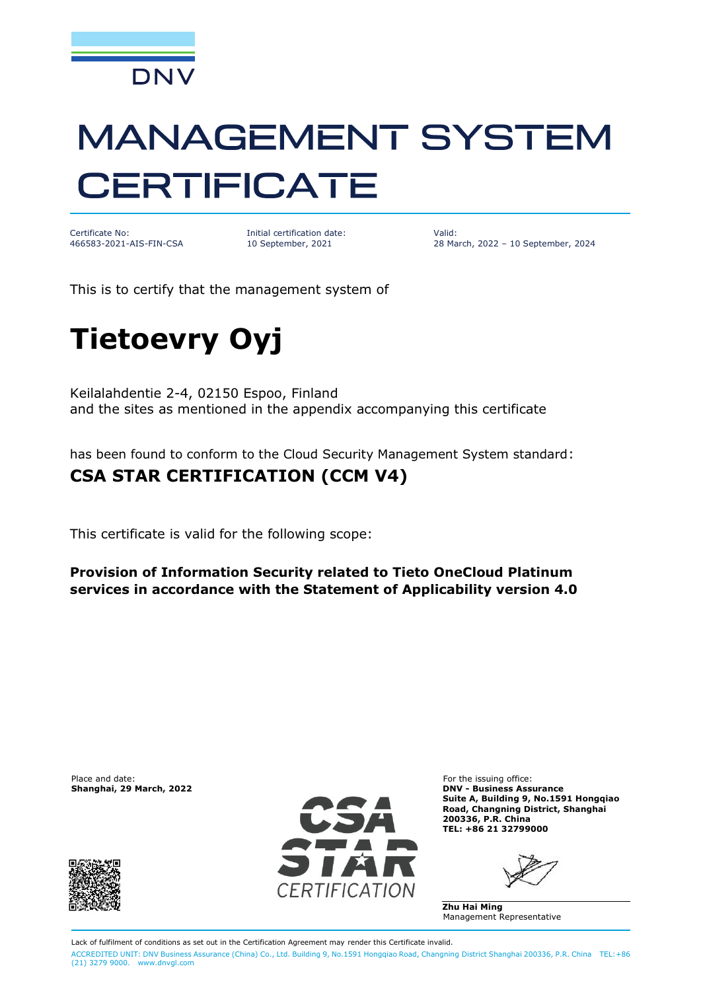

# **MANAGEMENT SYSTEM CERTIFICATE**

Certificate No: 466583-2021-AIS-FIN-CSA Initial certification date: 10 September, 2021

Valid: 28 March, 2022 – 10 September, 2024

This is to certify that the management system of

## **Tietoevry Oyj**

Keilalahdentie 2-4, 02150 Espoo, Finland and the sites as mentioned in the appendix accompanying this certificate

has been found to conform to the Cloud Security Management System standard:

#### **CSA STAR CERTIFICATION (CCM V4)**

This certificate is valid for the following scope:

**Provision of Information Security related to Tieto OneCloud Platinum services in accordance with the Statement of Applicability version 4.0**

Place and date: For the issuing office:<br> **Shanghai, 29 March, 2022** Connection of the issuing office: **Shanghai, 29 March, 2022** 





**Shanghai, 29 March, 2022 DNV - Business Assurance Suite A, Building 9, No.1591 Hongqiao Road, Changning District, Shanghai 200336, P.R. China TEL: +86 21 32799000**

**Zhu Hai Ming** Management Representative

Lack of fulfilment of conditions as set out in the Certification Agreement may render this Certificate invalid. ACCREDITED UNIT: DNV Business Assurance (China) Co., Ltd. Building 9, No.1591 Hongqiao Road, Changning District Shanghai 200336, P.R. China TEL:+86 (21) 3279 9000. [www.dnvgl.com](http://www.dnvgl.com)